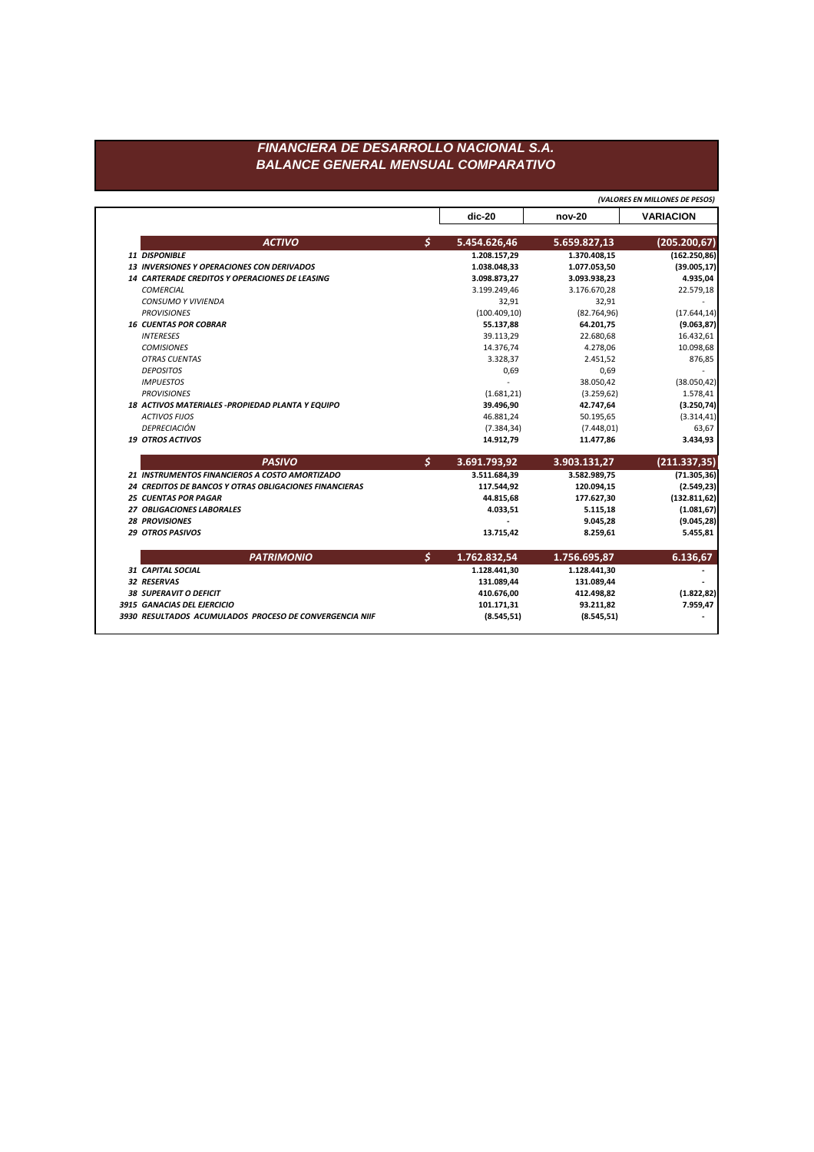## FINANCIERA DE DESARROLLO NACIONAL S.A. **BALANCE GENERAL MENSUAL COMPARATIVO**

(VALORES EN MILLONES DE PESOS)

|                                                        |                      | $dic-20$      | nov-20       | <b>VARIACION</b> |
|--------------------------------------------------------|----------------------|---------------|--------------|------------------|
| <b>ACTIVO</b>                                          | $\boldsymbol{\zeta}$ | 5.454.626,46  | 5.659.827,13 | (205.200, 67)    |
| 11 DISPONIBLE                                          |                      | 1.208.157,29  | 1.370.408,15 | (162.250, 86)    |
| 13 INVERSIONES Y OPERACIONES CON DERIVADOS             |                      | 1.038.048,33  | 1.077.053,50 | (39.005, 17)     |
| 14 CARTERADE CREDITOS Y OPERACIONES DE LEASING         |                      | 3.098.873,27  | 3.093.938,23 | 4.935,04         |
| <b>COMERCIAL</b>                                       |                      | 3.199.249,46  | 3.176.670,28 | 22.579,18        |
| <b>CONSUMO Y VIVIENDA</b>                              |                      | 32,91         | 32,91        |                  |
| <b>PROVISIONES</b>                                     |                      | (100.409, 10) | (82.764, 96) | (17.644, 14)     |
| <b>16 CUENTAS POR COBRAR</b>                           |                      | 55.137,88     | 64.201,75    | (9.063, 87)      |
| <b>INTERESES</b>                                       |                      | 39.113,29     | 22.680,68    | 16.432,61        |
| <b>COMISIONES</b>                                      |                      | 14.376,74     | 4.278,06     | 10.098,68        |
| <b>OTRAS CUENTAS</b>                                   |                      | 3.328,37      | 2.451,52     | 876,85           |
| <b>DEPOSITOS</b>                                       |                      | 0,69          | 0,69         |                  |
| <b>IMPUESTOS</b>                                       |                      |               | 38.050,42    | (38.050, 42)     |
| <b>PROVISIONES</b>                                     |                      | (1.681, 21)   | (3.259, 62)  | 1.578,41         |
| 18 ACTIVOS MATERIALES - PROPIEDAD PLANTA Y EQUIPO      |                      | 39.496,90     | 42.747,64    | (3.250, 74)      |
| <b>ACTIVOS FIJOS</b>                                   |                      | 46.881,24     | 50.195,65    | (3.314, 41)      |
| DEPRECIACIÓN                                           |                      | (7.384, 34)   | (7.448, 01)  | 63,67            |
| <b>19 OTROS ACTIVOS</b>                                |                      | 14.912,79     | 11.477,86    | 3.434,93         |
| <b>PASIVO</b>                                          | \$                   | 3.691.793,92  | 3.903.131,27 | (211.337, 35)    |
| 21 INSTRUMENTOS FINANCIEROS A COSTO AMORTIZADO         |                      | 3.511.684,39  | 3.582.989,75 | (71.305, 36)     |
| 24 CREDITOS DE BANCOS Y OTRAS OBLIGACIONES FINANCIERAS |                      | 117.544,92    | 120.094,15   | (2.549, 23)      |
| <b>25 CUENTAS POR PAGAR</b>                            |                      | 44.815,68     | 177.627,30   | (132.811, 62)    |
| 27 OBLIGACIONES LABORALES                              |                      | 4.033,51      | 5.115,18     | (1.081, 67)      |
| <b>28 PROVISIONES</b>                                  |                      |               | 9.045,28     | (9.045, 28)      |
| <b>29 OTROS PASIVOS</b>                                |                      | 13.715,42     | 8.259,61     | 5.455,81         |
| <b>PATRIMONIO</b>                                      | \$                   | 1.762.832,54  | 1.756.695,87 | 6.136,67         |
| <b>31 CAPITAL SOCIAL</b>                               |                      | 1.128.441,30  | 1.128.441,30 |                  |
| 32 RESERVAS                                            |                      | 131.089,44    | 131.089,44   |                  |
| <b>38 SUPERAVIT O DEFICIT</b>                          |                      | 410.676,00    | 412.498,82   | (1.822, 82)      |
|                                                        |                      |               |              |                  |
| 3915 GANACIAS DEL EJERCICIO                            |                      | 101.171,31    | 93.211,82    | 7.959,47         |